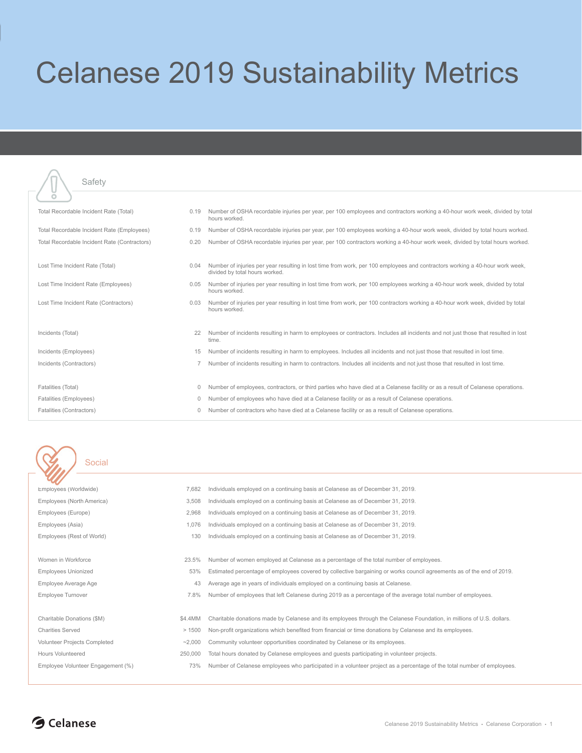## Celanese 2019 Sustainability Metrics

| Ö                                            |          |                                                                                                                                                                |
|----------------------------------------------|----------|----------------------------------------------------------------------------------------------------------------------------------------------------------------|
| Total Recordable Incident Rate (Total)       | 0.19     | Number of OSHA recordable injuries per year, per 100 employees and contractors working a 40-hour work week, divided by total<br>hours worked.                  |
| Total Recordable Incident Rate (Employees)   | 0.19     | Number of OSHA recordable injuries per year, per 100 employees working a 40-hour work week, divided by total hours worked.                                     |
| Total Recordable Incident Rate (Contractors) | 0.20     | Number of OSHA recordable injuries per year, per 100 contractors working a 40-hour work week, divided by total hours worked.                                   |
|                                              |          |                                                                                                                                                                |
| Lost Time Incident Rate (Total)              | 0.04     | Number of injuries per year resulting in lost time from work, per 100 employees and contractors working a 40-hour work week,<br>divided by total hours worked. |
| Lost Time Incident Rate (Employees)          | 0.05     | Number of injuries per year resulting in lost time from work, per 100 employees working a 40-hour work week, divided by total<br>hours worked.                 |
| Lost Time Incident Rate (Contractors)        | 0.03     | Number of injuries per year resulting in lost time from work, per 100 contractors working a 40-hour work week, divided by total<br>hours worked.               |
|                                              |          |                                                                                                                                                                |
| Incidents (Total)                            | 22       | Number of incidents resulting in harm to employees or contractors. Includes all incidents and not just those that resulted in lost<br>time.                    |
| Incidents (Employees)                        | 15       | Number of incidents resulting in harm to employees. Includes all incidents and not just those that resulted in lost time.                                      |
| Incidents (Contractors)                      |          | Number of incidents resulting in harm to contractors. Includes all incidents and not just those that resulted in lost time.                                    |
|                                              |          |                                                                                                                                                                |
| Fatalities (Total)                           | $\circ$  | Number of employees, contractors, or third parties who have died at a Celanese facility or as a result of Celanese operations.                                 |
| Fatalities (Employees)                       | $\Omega$ | Number of employees who have died at a Celanese facility or as a result of Celanese operations.                                                                |

Safety

介

Fatalities (Contractors) 0 Number of contractors who have died at a Celanese facility or as a result of Celanese operations.

## Social

| Employees (Worldwide)             | 7,682    | Individuals employed on a continuing basis at Celanese as of December 31, 2019.                                        |
|-----------------------------------|----------|------------------------------------------------------------------------------------------------------------------------|
| Employees (North America)         | 3,508    | Individuals employed on a continuing basis at Celanese as of December 31, 2019.                                        |
| Employees (Europe)                | 2,968    | Individuals employed on a continuing basis at Celanese as of December 31, 2019.                                        |
| Employees (Asia)                  | 1.076    | Individuals employed on a continuing basis at Celanese as of December 31, 2019.                                        |
| Employees (Rest of World)         | 130      | Individuals employed on a continuing basis at Celanese as of December 31, 2019.                                        |
|                                   |          |                                                                                                                        |
| Women in Workforce                | 23.5%    | Number of women employed at Celanese as a percentage of the total number of employees.                                 |
| <b>Employees Unionized</b>        | 53%      | Estimated percentage of employees covered by collective bargaining or works council agreements as of the end of 2019.  |
| Employee Average Age              | 43       | Average age in years of individuals employed on a continuing basis at Celanese.                                        |
| Employee Turnover                 | 7.8%     | Number of employees that left Celanese during 2019 as a percentage of the average total number of employees.           |
|                                   |          |                                                                                                                        |
| Charitable Donations (\$M)        | \$4.4MM  | Charitable donations made by Celanese and its employees through the Celanese Foundation, in millions of U.S. dollars.  |
| <b>Charities Served</b>           | >1500    | Non-profit organizations which benefited from financial or time donations by Celanese and its employees.               |
| Volunteer Projects Completed      | $-2,000$ | Community volunteer opportunities coordinated by Celanese or its employees.                                            |
| Hours Volunteered                 | 250,000  | Total hours donated by Celanese employees and guests participating in volunteer projects.                              |
| Employee Volunteer Engagement (%) | 73%      | Number of Celanese employees who participated in a volunteer project as a percentage of the total number of employees. |
|                                   |          |                                                                                                                        |